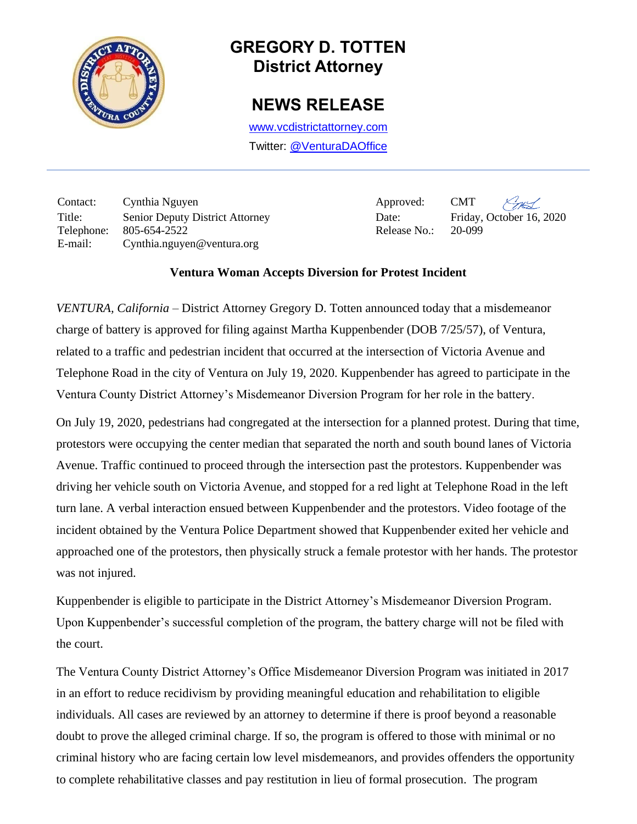

## **GREGORY D. TOTTEN District Attorney**

## **NEWS RELEASE**

[www.vcdistrictattorney.com](http://www.vcdistrictattorney.com/) Twitter: [@VenturaDAOffice](https://twitter.com/venturadaoffice)

Contact: Cynthia Nguyen Approved: CMT Title: Senior Deputy District Attorney Date: Friday, October 16, 2020 Telephone: 805-654-2522 Release No.: 20-099 E-mail: Cynthia.nguyen@ventura.org

## **Ventura Woman Accepts Diversion for Protest Incident**

*VENTURA, California* – District Attorney Gregory D. Totten announced today that a misdemeanor charge of battery is approved for filing against Martha Kuppenbender (DOB 7/25/57), of Ventura, related to a traffic and pedestrian incident that occurred at the intersection of Victoria Avenue and Telephone Road in the city of Ventura on July 19, 2020. Kuppenbender has agreed to participate in the Ventura County District Attorney's Misdemeanor Diversion Program for her role in the battery.

On July 19, 2020, pedestrians had congregated at the intersection for a planned protest. During that time, protestors were occupying the center median that separated the north and south bound lanes of Victoria Avenue. Traffic continued to proceed through the intersection past the protestors. Kuppenbender was driving her vehicle south on Victoria Avenue, and stopped for a red light at Telephone Road in the left turn lane. A verbal interaction ensued between Kuppenbender and the protestors. Video footage of the incident obtained by the Ventura Police Department showed that Kuppenbender exited her vehicle and approached one of the protestors, then physically struck a female protestor with her hands. The protestor was not injured.

Kuppenbender is eligible to participate in the District Attorney's Misdemeanor Diversion Program. Upon Kuppenbender's successful completion of the program, the battery charge will not be filed with the court.

The Ventura County District Attorney's Office Misdemeanor Diversion Program was initiated in 2017 in an effort to reduce recidivism by providing meaningful education and rehabilitation to eligible individuals. All cases are reviewed by an attorney to determine if there is proof beyond a reasonable doubt to prove the alleged criminal charge. If so, the program is offered to those with minimal or no criminal history who are facing certain low level misdemeanors, and provides offenders the opportunity to complete rehabilitative classes and pay restitution in lieu of formal prosecution. The program